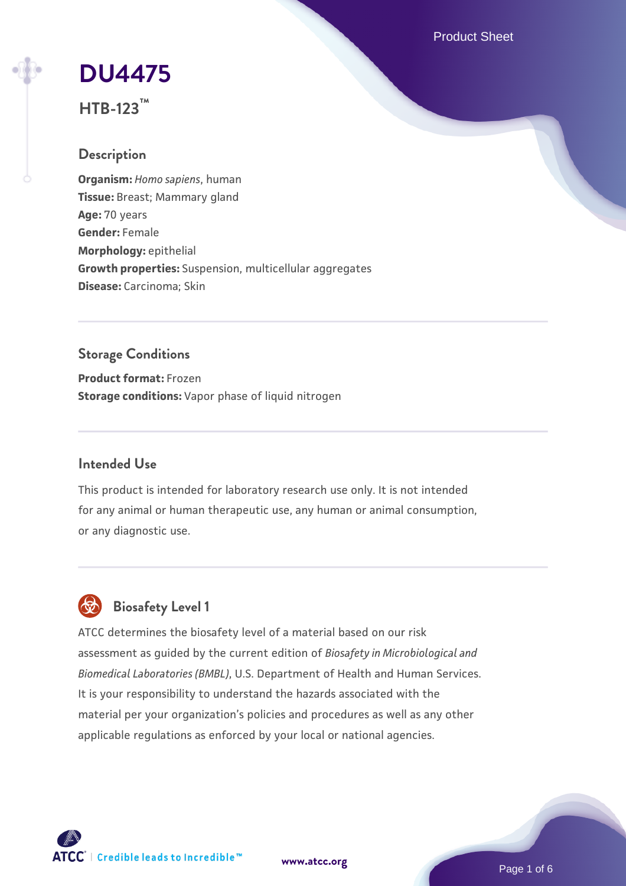Product Sheet

# **[DU4475](https://www.atcc.org/products/htb-123)**

**HTB-123™**

## **Description**

**Organism:** *Homo sapiens*, human **Tissue:** Breast; Mammary gland **Age:** 70 years **Gender:** Female **Morphology:** epithelial **Growth properties:** Suspension, multicellular aggregates **Disease:** Carcinoma; Skin

# **Storage Conditions**

**Product format:** Frozen **Storage conditions:** Vapor phase of liquid nitrogen

## **Intended Use**

This product is intended for laboratory research use only. It is not intended for any animal or human therapeutic use, any human or animal consumption, or any diagnostic use.

# **Biosafety Level 1**

ATCC determines the biosafety level of a material based on our risk assessment as guided by the current edition of *Biosafety in Microbiological and Biomedical Laboratories (BMBL)*, U.S. Department of Health and Human Services. It is your responsibility to understand the hazards associated with the material per your organization's policies and procedures as well as any other applicable regulations as enforced by your local or national agencies.

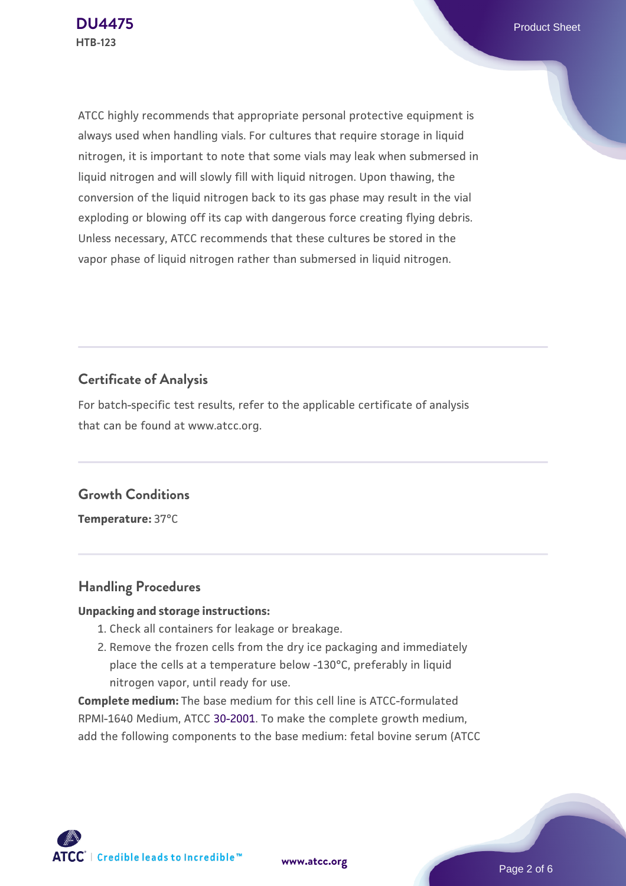ATCC highly recommends that appropriate personal protective equipment is always used when handling vials. For cultures that require storage in liquid nitrogen, it is important to note that some vials may leak when submersed in liquid nitrogen and will slowly fill with liquid nitrogen. Upon thawing, the conversion of the liquid nitrogen back to its gas phase may result in the vial exploding or blowing off its cap with dangerous force creating flying debris. Unless necessary, ATCC recommends that these cultures be stored in the vapor phase of liquid nitrogen rather than submersed in liquid nitrogen.

## **Certificate of Analysis**

For batch-specific test results, refer to the applicable certificate of analysis that can be found at www.atcc.org.

## **Growth Conditions**

**Temperature:** 37°C

## **Handling Procedures**

#### **Unpacking and storage instructions:**

- 1. Check all containers for leakage or breakage.
- 2. Remove the frozen cells from the dry ice packaging and immediately place the cells at a temperature below -130°C, preferably in liquid nitrogen vapor, until ready for use.

**Complete medium:** The base medium for this cell line is ATCC-formulated RPMI-1640 Medium, ATCC [30-2001.](https://www.atcc.org/Products/All/30-2001.aspx) To make the complete growth medium, add the following components to the base medium: fetal bovine serum (ATCC

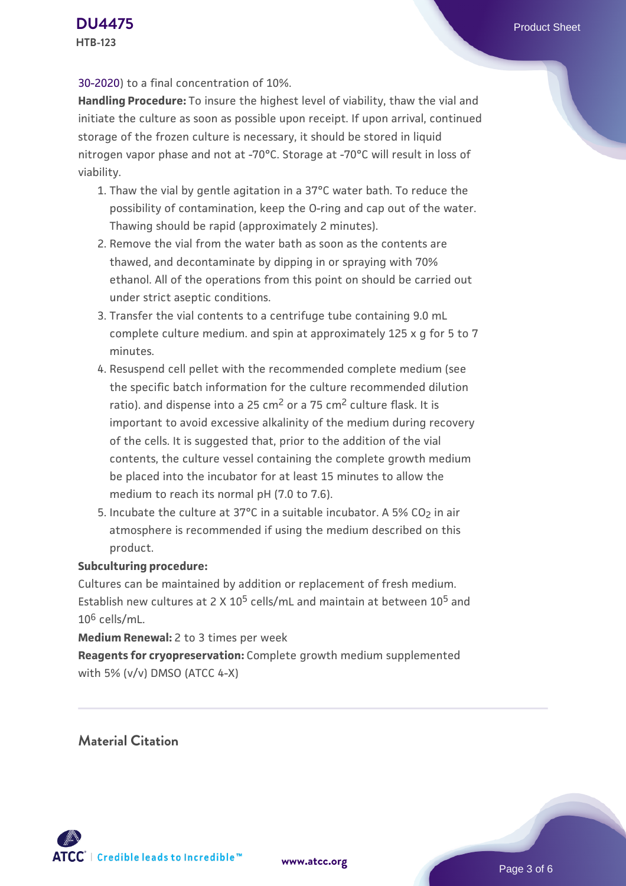#### [30-2020\)](https://www.atcc.org/Products/All/30-2020.aspx) to a final concentration of 10%.

**Handling Procedure:** To insure the highest level of viability, thaw the vial and initiate the culture as soon as possible upon receipt. If upon arrival, continued storage of the frozen culture is necessary, it should be stored in liquid nitrogen vapor phase and not at -70°C. Storage at -70°C will result in loss of viability.

- 1. Thaw the vial by gentle agitation in a 37°C water bath. To reduce the possibility of contamination, keep the O-ring and cap out of the water. Thawing should be rapid (approximately 2 minutes).
- 2. Remove the vial from the water bath as soon as the contents are thawed, and decontaminate by dipping in or spraying with 70% ethanol. All of the operations from this point on should be carried out under strict aseptic conditions.
- 3. Transfer the vial contents to a centrifuge tube containing 9.0 mL complete culture medium. and spin at approximately 125 x g for 5 to 7 minutes.
- 4. Resuspend cell pellet with the recommended complete medium (see the specific batch information for the culture recommended dilution ratio), and dispense into a 25  $\text{cm}^2$  or a 75  $\text{cm}^2$  culture flask. It is important to avoid excessive alkalinity of the medium during recovery of the cells. It is suggested that, prior to the addition of the vial contents, the culture vessel containing the complete growth medium be placed into the incubator for at least 15 minutes to allow the medium to reach its normal pH (7.0 to 7.6).
- 5. Incubate the culture at 37°C in a suitable incubator. A 5% CO<sub>2</sub> in air atmosphere is recommended if using the medium described on this product.

#### **Subculturing procedure:**

Cultures can be maintained by addition or replacement of fresh medium. Establish new cultures at 2 X 10<sup>5</sup> cells/mL and maintain at between  $10^5$  and  $10^6$  cells/mL.

**Medium Renewal:** 2 to 3 times per week

**Reagents for cryopreservation:** Complete growth medium supplemented with 5% (v/v) DMSO (ATCC 4-X)

**Material Citation**

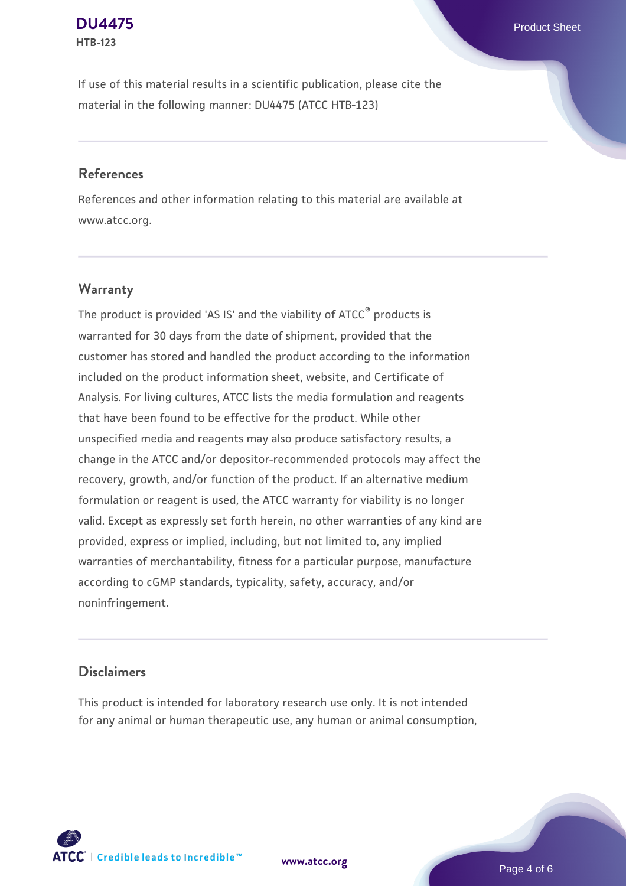### **[DU4475](https://www.atcc.org/products/htb-123)** Product Sheet **HTB-123**

If use of this material results in a scientific publication, please cite the material in the following manner: DU4475 (ATCC HTB-123)

## **References**

References and other information relating to this material are available at www.atcc.org.

## **Warranty**

The product is provided 'AS IS' and the viability of  $ATCC<sup>®</sup>$  products is warranted for 30 days from the date of shipment, provided that the customer has stored and handled the product according to the information included on the product information sheet, website, and Certificate of Analysis. For living cultures, ATCC lists the media formulation and reagents that have been found to be effective for the product. While other unspecified media and reagents may also produce satisfactory results, a change in the ATCC and/or depositor-recommended protocols may affect the recovery, growth, and/or function of the product. If an alternative medium formulation or reagent is used, the ATCC warranty for viability is no longer valid. Except as expressly set forth herein, no other warranties of any kind are provided, express or implied, including, but not limited to, any implied warranties of merchantability, fitness for a particular purpose, manufacture according to cGMP standards, typicality, safety, accuracy, and/or noninfringement.

## **Disclaimers**

This product is intended for laboratory research use only. It is not intended for any animal or human therapeutic use, any human or animal consumption,



**[www.atcc.org](http://www.atcc.org)**

Page 4 of 6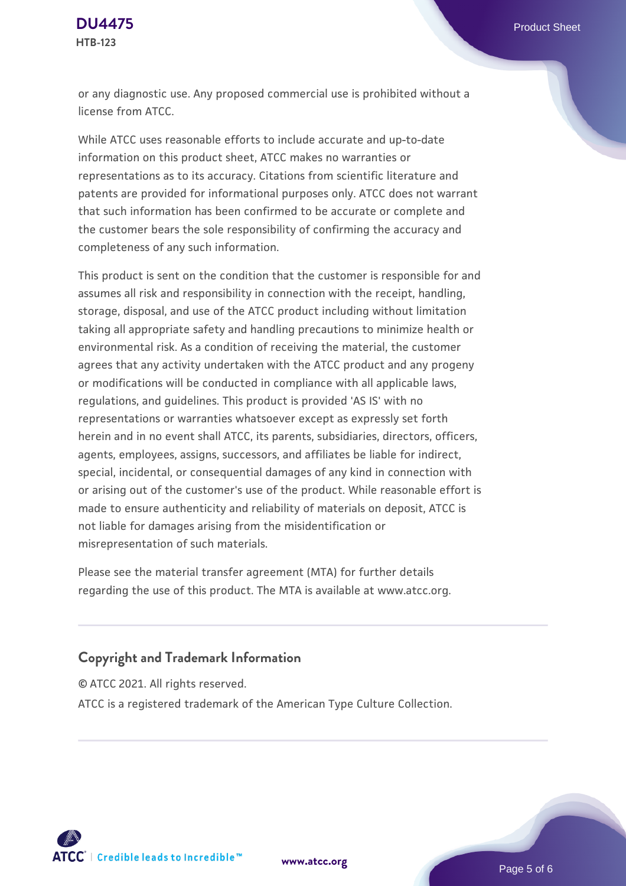or any diagnostic use. Any proposed commercial use is prohibited without a license from ATCC.

While ATCC uses reasonable efforts to include accurate and up-to-date information on this product sheet, ATCC makes no warranties or representations as to its accuracy. Citations from scientific literature and patents are provided for informational purposes only. ATCC does not warrant that such information has been confirmed to be accurate or complete and the customer bears the sole responsibility of confirming the accuracy and completeness of any such information.

This product is sent on the condition that the customer is responsible for and assumes all risk and responsibility in connection with the receipt, handling, storage, disposal, and use of the ATCC product including without limitation taking all appropriate safety and handling precautions to minimize health or environmental risk. As a condition of receiving the material, the customer agrees that any activity undertaken with the ATCC product and any progeny or modifications will be conducted in compliance with all applicable laws, regulations, and guidelines. This product is provided 'AS IS' with no representations or warranties whatsoever except as expressly set forth herein and in no event shall ATCC, its parents, subsidiaries, directors, officers, agents, employees, assigns, successors, and affiliates be liable for indirect, special, incidental, or consequential damages of any kind in connection with or arising out of the customer's use of the product. While reasonable effort is made to ensure authenticity and reliability of materials on deposit, ATCC is not liable for damages arising from the misidentification or misrepresentation of such materials.

Please see the material transfer agreement (MTA) for further details regarding the use of this product. The MTA is available at www.atcc.org.

## **Copyright and Trademark Information**

© ATCC 2021. All rights reserved.

ATCC is a registered trademark of the American Type Culture Collection.



**[www.atcc.org](http://www.atcc.org)**